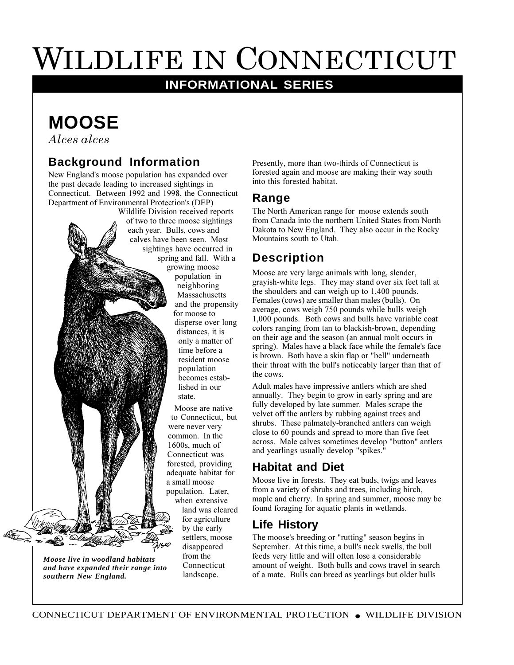# WILDLIFE IN CONNECTICUT

# **INFORMATIONAL SERIES**

# **MOOSE**

*Alces alces*

*Moose live in woodland habitats and have expanded their range into*

*southern New England.*

#### **Background Information**

New England's moose population has expanded over the past decade leading to increased sightings in Connecticut. Between 1992 and 1998, the Connecticut Department of Environmental Protection's (DEP)

Wildlife Division received reports of two to three moose sightings each year. Bulls, cows and calves have been seen. Most sightings have occurred in spring and fall. With a growing moose population in neighboring Massachusetts and the propensity for moose to disperse over long distances, it is only a matter of time before a resident moose population becomes established in our state. Moose are native to Connecticut, but were never very common. In the 1600s, much of Connecticut was

forested, providing adequate habitat for a small moose population. Later, when extensive land was cleared for agriculture by the early settlers, moose disappeared from the Connecticut landscape.

Presently, more than two-thirds of Connecticut is forested again and moose are making their way south into this forested habitat.

#### **Range**

The North American range for moose extends south from Canada into the northern United States from North Dakota to New England. They also occur in the Rocky Mountains south to Utah.

### **Description**

Moose are very large animals with long, slender, grayish-white legs. They may stand over six feet tall at the shoulders and can weigh up to 1,400 pounds. Females (cows) are smaller than males (bulls). On average, cows weigh 750 pounds while bulls weigh 1,000 pounds. Both cows and bulls have variable coat colors ranging from tan to blackish-brown, depending on their age and the season (an annual molt occurs in spring). Males have a black face while the female's face is brown. Both have a skin flap or "bell" underneath their throat with the bull's noticeably larger than that of the cows.

Adult males have impressive antlers which are shed annually. They begin to grow in early spring and are fully developed by late summer. Males scrape the velvet off the antlers by rubbing against trees and shrubs. These palmately-branched antlers can weigh close to 60 pounds and spread to more than five feet across. Male calves sometimes develop "button" antlers and yearlings usually develop "spikes."

#### **Habitat and Diet**

Moose live in forests. They eat buds, twigs and leaves from a variety of shrubs and trees, including birch, maple and cherry. In spring and summer, moose may be found foraging for aquatic plants in wetlands.

## **Life History**

The moose's breeding or "rutting" season begins in September. At this time, a bull's neck swells, the bull feeds very little and will often lose a considerable amount of weight. Both bulls and cows travel in search of a mate. Bulls can breed as yearlings but older bulls